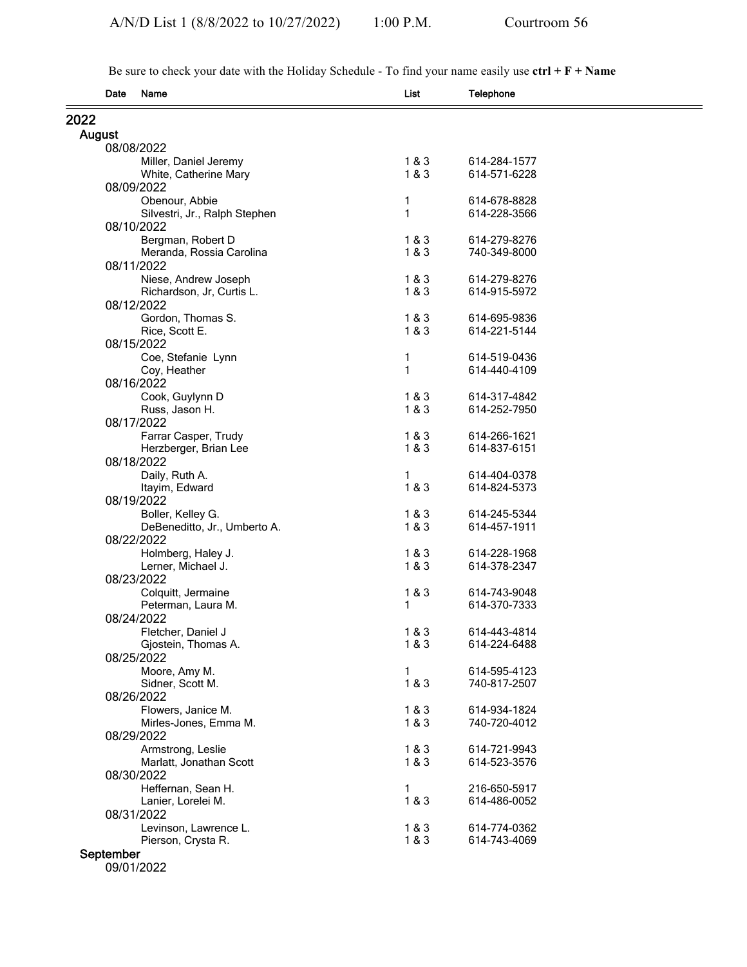Be sure to check your date with the Holiday Schedule - To find your name easily use **ctrl + F + Name**

|               | Date                    | Name                                              | List  | <b>Telephone</b> |  |  |  |
|---------------|-------------------------|---------------------------------------------------|-------|------------------|--|--|--|
| 2022          |                         |                                                   |       |                  |  |  |  |
| <b>August</b> |                         |                                                   |       |                  |  |  |  |
|               | 08/08/2022              |                                                   |       |                  |  |  |  |
|               |                         | Miller, Daniel Jeremy                             | 1 & 3 | 614-284-1577     |  |  |  |
|               |                         | White, Catherine Mary                             | 1&8&3 | 614-571-6228     |  |  |  |
|               | 08/09/2022              |                                                   |       |                  |  |  |  |
|               |                         | Obenour, Abbie                                    | 1     | 614-678-8828     |  |  |  |
|               |                         | Silvestri, Jr., Ralph Stephen                     | 1     | 614-228-3566     |  |  |  |
|               | 08/10/2022              |                                                   |       |                  |  |  |  |
|               |                         | Bergman, Robert D                                 | 1&3   | 614-279-8276     |  |  |  |
|               | 08/11/2022              | Meranda, Rossia Carolina                          | 1&3   | 740-349-8000     |  |  |  |
|               |                         |                                                   | 1&8&3 | 614-279-8276     |  |  |  |
|               |                         | Niese, Andrew Joseph<br>Richardson, Jr, Curtis L. | 1&8&3 | 614-915-5972     |  |  |  |
|               | 08/12/2022              |                                                   |       |                  |  |  |  |
|               |                         | Gordon, Thomas S.                                 | 1&3   | 614-695-9836     |  |  |  |
|               |                         | Rice, Scott E.                                    | 1 & 3 | 614-221-5144     |  |  |  |
|               | 08/15/2022              |                                                   |       |                  |  |  |  |
|               |                         | Coe, Stefanie Lynn                                | 1     | 614-519-0436     |  |  |  |
|               |                         | Coy, Heather                                      | 1     | 614-440-4109     |  |  |  |
|               | 08/16/2022              |                                                   |       |                  |  |  |  |
|               |                         | Cook, Guylynn D                                   | 1&3   | 614-317-4842     |  |  |  |
|               |                         | Russ, Jason H.                                    | 1&8&3 | 614-252-7950     |  |  |  |
|               | 08/17/2022              |                                                   |       |                  |  |  |  |
|               |                         | Farrar Casper, Trudy                              | 1&3   | 614-266-1621     |  |  |  |
|               |                         | Herzberger, Brian Lee                             | 1&8&3 | 614-837-6151     |  |  |  |
|               | 08/18/2022              | Daily, Ruth A.                                    | 1     | 614-404-0378     |  |  |  |
|               |                         | Itayim, Edward                                    | 1&8&3 | 614-824-5373     |  |  |  |
|               | 08/19/2022              |                                                   |       |                  |  |  |  |
|               |                         | Boller, Kelley G.                                 | 1&3   | 614-245-5344     |  |  |  |
|               |                         | DeBeneditto, Jr., Umberto A.                      | 1&8&3 | 614-457-1911     |  |  |  |
|               | 08/22/2022              |                                                   |       |                  |  |  |  |
|               |                         | Holmberg, Haley J.                                | 1&3   | 614-228-1968     |  |  |  |
|               |                         | Lerner, Michael J.                                | 1&8&3 | 614-378-2347     |  |  |  |
|               | 08/23/2022              |                                                   |       |                  |  |  |  |
|               |                         | Colquitt, Jermaine                                | 1&3   | 614-743-9048     |  |  |  |
|               |                         | Peterman, Laura M.                                | 1     | 614-370-7333     |  |  |  |
|               | 08/24/2022              |                                                   |       |                  |  |  |  |
|               |                         | Fletcher, Daniel J                                | 1 & 3 | 614-443-4814     |  |  |  |
|               |                         | Gjostein, Thomas A.                               | 1&3   | 614-224-6488     |  |  |  |
|               | 08/25/2022              | Moore, Amy M.                                     | 1     | 614-595-4123     |  |  |  |
|               |                         | Sidner, Scott M.                                  | 1&8&3 | 740-817-2507     |  |  |  |
|               | 08/26/2022              |                                                   |       |                  |  |  |  |
|               |                         | Flowers, Janice M.                                | 1&8&3 | 614-934-1824     |  |  |  |
|               |                         | Mirles-Jones, Emma M.                             | 1&3   | 740-720-4012     |  |  |  |
|               | 08/29/2022              |                                                   |       |                  |  |  |  |
|               |                         | Armstrong, Leslie                                 | 1&3   | 614-721-9943     |  |  |  |
|               |                         | Marlatt, Jonathan Scott                           | 1&8&3 | 614-523-3576     |  |  |  |
|               | 08/30/2022              |                                                   |       |                  |  |  |  |
|               |                         | Heffernan, Sean H.                                | 1     | 216-650-5917     |  |  |  |
|               |                         | Lanier, Lorelei M.                                | 1&8&3 | 614-486-0052     |  |  |  |
|               | 08/31/2022              |                                                   |       |                  |  |  |  |
|               |                         | Levinson, Lawrence L.                             | 1&8&3 | 614-774-0362     |  |  |  |
|               |                         | Pierson, Crysta R.                                | 1&8&3 | 614-743-4069     |  |  |  |
|               | September<br>09/01/2022 |                                                   |       |                  |  |  |  |
|               |                         |                                                   |       |                  |  |  |  |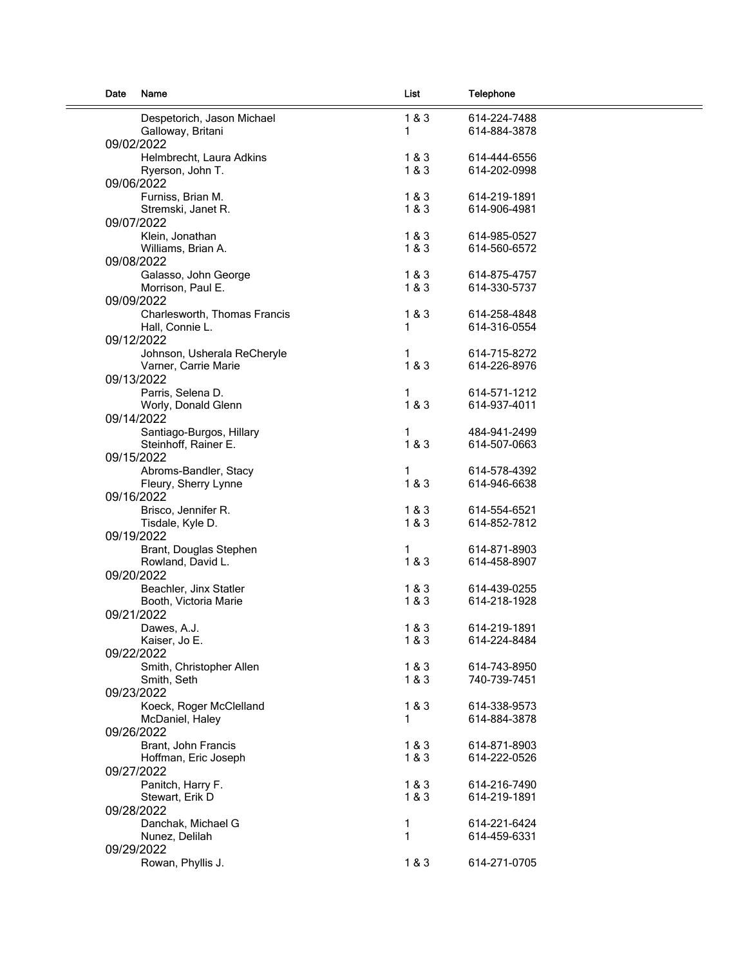| Date | Name                         | List  | Telephone    |  |
|------|------------------------------|-------|--------------|--|
|      | Despetorich, Jason Michael   | 1 & 3 | 614-224-7488 |  |
|      | Galloway, Britani            | 1     | 614-884-3878 |  |
|      | 09/02/2022                   |       |              |  |
|      | Helmbrecht, Laura Adkins     | 1&3   | 614-444-6556 |  |
|      | Ryerson, John T.             | 1&3   | 614-202-0998 |  |
|      | 09/06/2022                   |       |              |  |
|      | Furniss, Brian M.            | 1&3   | 614-219-1891 |  |
|      | Stremski, Janet R.           | 1&3   | 614-906-4981 |  |
|      | 09/07/2022                   |       |              |  |
|      | Klein, Jonathan              | 1&3   | 614-985-0527 |  |
|      | Williams, Brian A.           | 1 & 3 | 614-560-6572 |  |
|      | 09/08/2022                   |       |              |  |
|      | Galasso, John George         | 1&3   | 614-875-4757 |  |
|      | Morrison, Paul E.            | 1&3   | 614-330-5737 |  |
|      | 09/09/2022                   |       |              |  |
|      | Charlesworth, Thomas Francis | 1&3   | 614-258-4848 |  |
|      | Hall, Connie L.              | 1     | 614-316-0554 |  |
|      | 09/12/2022                   |       |              |  |
|      | Johnson, Usherala ReCheryle  | 1     | 614-715-8272 |  |
|      | Varner, Carrie Marie         | 1 & 3 | 614-226-8976 |  |
|      | 09/13/2022                   |       |              |  |
|      |                              |       | 614-571-1212 |  |
|      | Parris, Selena D.            | 1     |              |  |
|      | Worly, Donald Glenn          | 1 & 3 | 614-937-4011 |  |
|      | 09/14/2022                   |       |              |  |
|      | Santiago-Burgos, Hillary     | 1     | 484-941-2499 |  |
|      | Steinhoff, Rainer E.         | 1 & 3 | 614-507-0663 |  |
|      | 09/15/2022                   |       |              |  |
|      | Abroms-Bandler, Stacy        | 1     | 614-578-4392 |  |
|      | Fleury, Sherry Lynne         | 1 & 3 | 614-946-6638 |  |
|      | 09/16/2022                   |       |              |  |
|      | Brisco, Jennifer R.          | 1&3   | 614-554-6521 |  |
|      | Tisdale, Kyle D.             | 1 & 3 | 614-852-7812 |  |
|      | 09/19/2022                   |       |              |  |
|      | Brant, Douglas Stephen       | 1     | 614-871-8903 |  |
|      | Rowland, David L.            | 1&3   | 614-458-8907 |  |
|      | 09/20/2022                   |       |              |  |
|      | Beachler, Jinx Statler       | 1&3   | 614-439-0255 |  |
|      | Booth, Victoria Marie        | 1&3   | 614-218-1928 |  |
|      | 09/21/2022                   |       |              |  |
|      | Dawes, A.J.                  | 1&3   | 614-219-1891 |  |
|      | Kaiser, Jo E.                | 1 & 3 | 614-224-8484 |  |
|      | 09/22/2022                   |       |              |  |
|      | Smith, Christopher Allen     | 1&3   | 614-743-8950 |  |
|      | Smith, Seth                  | 1 & 3 | 740-739-7451 |  |
|      | 09/23/2022                   |       |              |  |
|      | Koeck, Roger McClelland      | 1 & 3 | 614-338-9573 |  |
|      | McDaniel, Haley              | 1     | 614-884-3878 |  |
|      | 09/26/2022                   |       |              |  |
|      | Brant, John Francis          | 1&3   | 614-871-8903 |  |
|      | Hoffman, Eric Joseph         | 1&3   | 614-222-0526 |  |
|      | 09/27/2022                   |       |              |  |
|      | Panitch, Harry F.            | 1&3   | 614-216-7490 |  |
|      | Stewart, Erik D              | 1&3   | 614-219-1891 |  |
|      | 09/28/2022                   |       |              |  |
|      | Danchak, Michael G           | 1     | 614-221-6424 |  |
|      | Nunez, Delilah               | 1     | 614-459-6331 |  |
|      | 09/29/2022                   |       |              |  |
|      | Rowan, Phyllis J.            | 1 & 3 | 614-271-0705 |  |
|      |                              |       |              |  |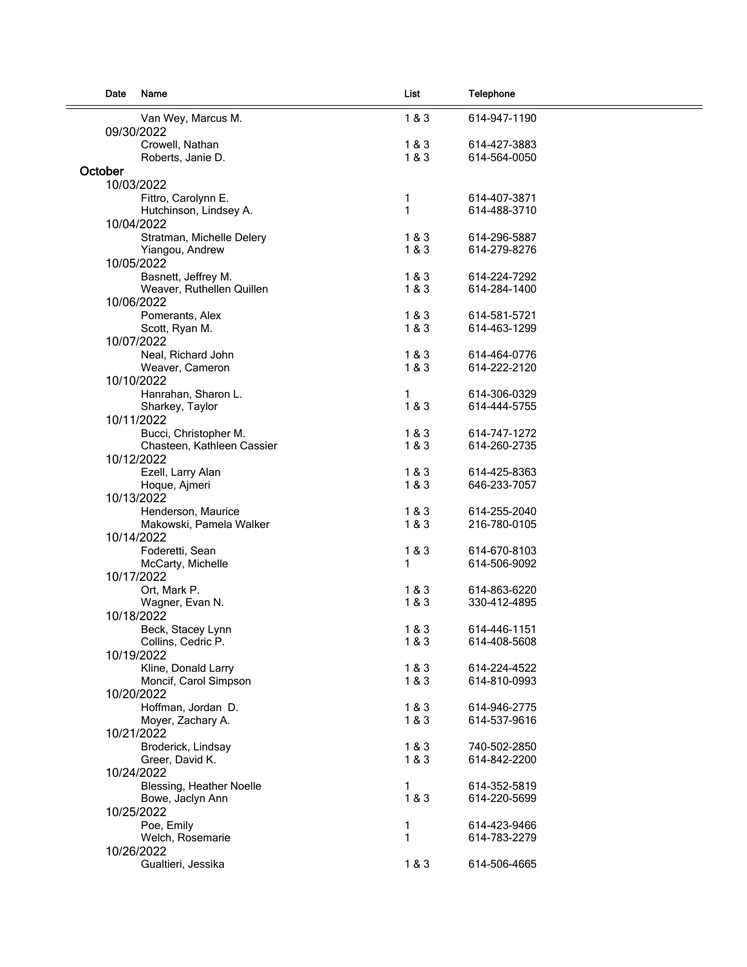| Date    | Name                                 | List         | Telephone                    |
|---------|--------------------------------------|--------------|------------------------------|
|         | Van Wey, Marcus M.                   | 1 & 3        | 614-947-1190                 |
|         | 09/30/2022                           |              |                              |
|         | Crowell, Nathan                      | 1 & 3        | 614-427-3883                 |
|         | Roberts, Janie D.                    | 1&3          | 614-564-0050                 |
| October |                                      |              |                              |
|         | 10/03/2022                           |              |                              |
|         |                                      | 1            | 614-407-3871                 |
|         | Fittro, Carolynn E.                  | $\mathbf{1}$ | 614-488-3710                 |
|         | Hutchinson, Lindsey A.<br>10/04/2022 |              |                              |
|         |                                      |              |                              |
|         | Stratman, Michelle Delery            | 1&3<br>1&3   | 614-296-5887<br>614-279-8276 |
|         | Yiangou, Andrew                      |              |                              |
|         | 10/05/2022                           |              |                              |
|         | Basnett, Jeffrey M.                  | 1 & 3        | 614-224-7292                 |
|         | Weaver, Ruthellen Quillen            | 1&3          | 614-284-1400                 |
|         | 10/06/2022                           |              |                              |
|         | Pomerants, Alex                      | 1&3          | 614-581-5721                 |
|         | Scott, Ryan M.                       | 1&3          | 614-463-1299                 |
|         | 10/07/2022                           |              |                              |
|         | Neal, Richard John                   | 1&3          | 614-464-0776                 |
|         | Weaver, Cameron                      | 1&3          | 614-222-2120                 |
|         | 10/10/2022                           |              |                              |
|         | Hanrahan, Sharon L.                  | 1            | 614-306-0329                 |
|         | Sharkey, Taylor                      | 1&8&3        | 614-444-5755                 |
|         | 10/11/2022                           |              |                              |
|         | Bucci, Christopher M.                | 1&3          | 614-747-1272                 |
|         | Chasteen, Kathleen Cassier           | 1&3          | 614-260-2735                 |
|         | 10/12/2022                           |              |                              |
|         | Ezell, Larry Alan                    | 1&3          | 614-425-8363                 |
|         | Hoque, Ajmeri                        | 1&3          | 646-233-7057                 |
|         | 10/13/2022                           |              |                              |
|         | Henderson, Maurice                   | 1&3          | 614-255-2040                 |
|         | Makowski, Pamela Walker              | 1&3          | 216-780-0105                 |
|         | 10/14/2022                           |              |                              |
|         | Foderetti, Sean                      | 1 & 3        | 614-670-8103                 |
|         | McCarty, Michelle                    | 1            | 614-506-9092                 |
|         | 10/17/2022                           |              |                              |
|         | Ort, Mark P.                         | 1&3          | 614-863-6220                 |
|         | Wagner, Evan N.                      | 1&3          | 330-412-4895                 |
|         | 10/18/2022                           |              |                              |
|         | Beck, Stacey Lynn                    | 1 & 3        | 614-446-1151                 |
|         | Collins, Cedric P.                   | 1 & 3        | 614-408-5608                 |
|         | 10/19/2022                           |              |                              |
|         | Kline, Donald Larry                  | 1 & 3        | 614-224-4522                 |
|         | Moncif, Carol Simpson                | 1&3          | 614-810-0993                 |
|         | 10/20/2022                           |              |                              |
|         | Hoffman, Jordan D.                   | 1 & 3        | 614-946-2775                 |
|         | Moyer, Zachary A.                    | 1&3          | 614-537-9616                 |
|         | 10/21/2022                           |              |                              |
|         | Broderick, Lindsay                   | 1 & 3        | 740-502-2850                 |
|         | Greer, David K.                      | 1 & 3        | 614-842-2200                 |
|         | 10/24/2022                           |              |                              |
|         | Blessing, Heather Noelle             | 1            | 614-352-5819                 |
|         | Bowe, Jaclyn Ann                     | 1&3          | 614-220-5699                 |
|         | 10/25/2022                           |              |                              |
|         | Poe, Emily                           | 1            | 614-423-9466                 |
|         | Welch, Rosemarie                     | 1            | 614-783-2279                 |
|         | 10/26/2022                           |              |                              |
|         | Gualtieri, Jessika                   | 1 & 3        | 614-506-4665                 |
|         |                                      |              |                              |